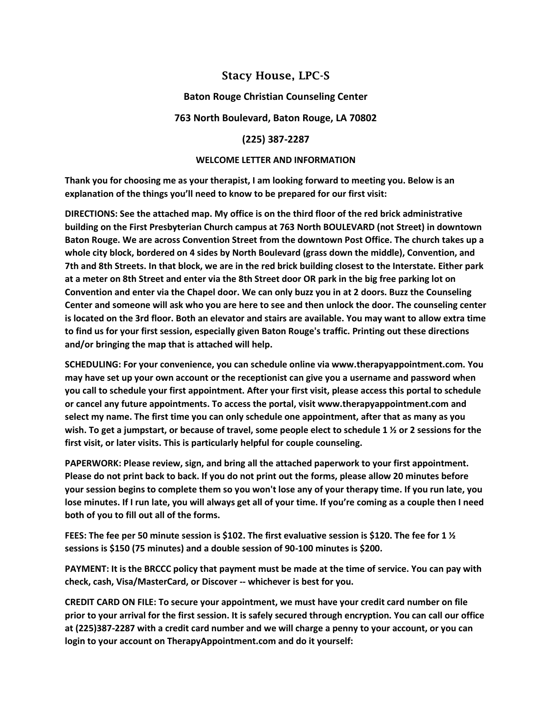# Stacy House, LPC-S

### **Baton Rouge Christian Counseling Center**

### **763 North Boulevard, Baton Rouge, LA 70802**

### **(225) 387-2287**

#### **WELCOME LETTER AND INFORMATION**

**Thank you for choosing me as your therapist, I am looking forward to meeting you. Below is an explanation of the things you'll need to know to be prepared for our first visit:**

**DIRECTIONS: See the attached map. My office is on the third floor of the red brick administrative building on the First Presbyterian Church campus at 763 North BOULEVARD (not Street) in downtown Baton Rouge. We are across Convention Street from the downtown Post Office. The church takes up a whole city block, bordered on 4 sides by North Boulevard (grass down the middle), Convention, and 7th and 8th Streets. In that block, we are in the red brick building closest to the Interstate. Either park at a meter on 8th Street and enter via the 8th Street door OR park in the big free parking lot on Convention and enter via the Chapel door. We can only buzz you in at 2 doors. Buzz the Counseling Center and someone will ask who you are here to see and then unlock the door. The counseling center is located on the 3rd floor. Both an elevator and stairs are available. You may want to allow extra time to find us for your first session, especially given Baton Rouge's traffic. Printing out these directions and/or bringing the map that is attached will help.**

**SCHEDULING: For your convenience, you can schedule online via www.therapyappointment.com. You may have set up your own account or the receptionist can give you a username and password when you call to schedule your first appointment. After your first visit, please access this portal to schedule or cancel any future appointments. To access the portal, visit www.therapyappointment.com and select my name. The first time you can only schedule one appointment, after that as many as you wish. To get a jumpstart, or because of travel, some people elect to schedule 1 ½ or 2 sessions for the first visit, or later visits. This is particularly helpful for couple counseling.**

**PAPERWORK: Please review, sign, and bring all the attached paperwork to your first appointment. Please do not print back to back. If you do not print out the forms, please allow 20 minutes before your session begins to complete them so you won't lose any of your therapy time. If you run late, you lose minutes. If I run late, you will always get all of your time. If you're coming as a couple then I need both of you to fill out all of the forms.**

**FEES: The fee per 50 minute session is \$102. The first evaluative session is \$120. The fee for 1 ½ sessions is \$150 (75 minutes) and a double session of 90-100 minutes is \$200.**

**PAYMENT: It is the BRCCC policy that payment must be made at the time of service. You can pay with check, cash, Visa/MasterCard, or Discover -- whichever is best for you.**

**CREDIT CARD ON FILE: To secure your appointment, we must have your credit card number on file prior to your arrival for the first session. It is safely secured through encryption. You can call our office at (225)387-2287 with a credit card number and we will charge a penny to your account, or you can login to your account on TherapyAppointment.com and do it yourself:**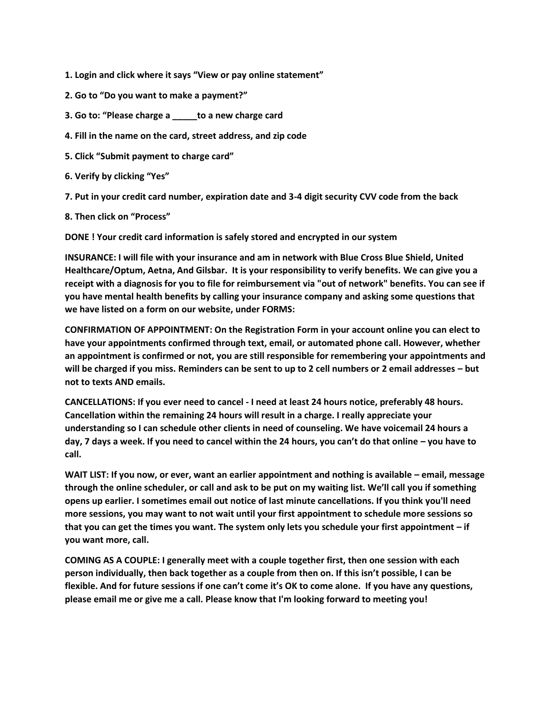**1. Login and click where it says "View or pay online statement"**

- **2. Go to "Do you want to make a payment?"**
- **3. Go to: "Please charge a \_\_\_\_\_to a new charge card**
- **4. Fill in the name on the card, street address, and zip code**
- **5. Click "Submit payment to charge card"**
- **6. Verify by clicking "Yes"**

**7. Put in your credit card number, expiration date and 3-4 digit security CVV code from the back**

**8. Then click on "Process"**

**DONE ! Your credit card information is safely stored and encrypted in our system**

**INSURANCE: I will file with your insurance and am in network with Blue Cross Blue Shield, United Healthcare/Optum, Aetna, And Gilsbar. It is your responsibility to verify benefits. We can give you a receipt with a diagnosis for you to file for reimbursement via "out of network" benefits. You can see if you have mental health benefits by calling your insurance company and asking some questions that we have listed on a form on our website, under FORMS:**

**CONFIRMATION OF APPOINTMENT: On the Registration Form in your account online you can elect to have your appointments confirmed through text, email, or automated phone call. However, whether an appointment is confirmed or not, you are still responsible for remembering your appointments and will be charged if you miss. Reminders can be sent to up to 2 cell numbers or 2 email addresses – but not to texts AND emails.**

**CANCELLATIONS: If you ever need to cancel - I need at least 24 hours notice, preferably 48 hours. Cancellation within the remaining 24 hours will result in a charge. I really appreciate your understanding so I can schedule other clients in need of counseling. We have voicemail 24 hours a day, 7 days a week. If you need to cancel within the 24 hours, you can't do that online – you have to call.**

**WAIT LIST: If you now, or ever, want an earlier appointment and nothing is available – email, message through the online scheduler, or call and ask to be put on my waiting list. We'll call you if something opens up earlier. I sometimes email out notice of last minute cancellations. If you think you'll need more sessions, you may want to not wait until your first appointment to schedule more sessions so that you can get the times you want. The system only lets you schedule your first appointment – if you want more, call.**

**COMING AS A COUPLE: I generally meet with a couple together first, then one session with each person individually, then back together as a couple from then on. If this isn't possible, I can be flexible. And for future sessions if one can't come it's OK to come alone. If you have any questions, please email me or give me a call. Please know that I'm looking forward to meeting you!**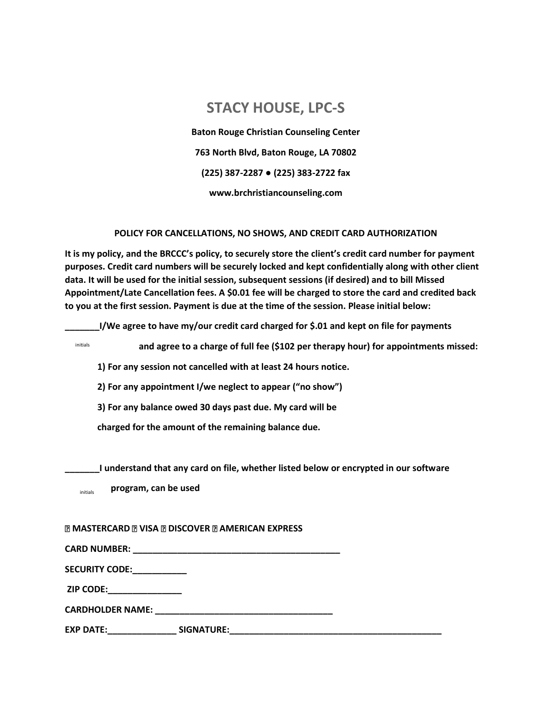# **STACY HOUSE, LPC-S**

**Baton Rouge Christian Counseling Center 763 North Blvd, Baton Rouge, LA 70802 (225) 387-2287 ● (225) 383-2722 fax www.brchristiancounseling.com**

### **POLICY FOR CANCELLATIONS, NO SHOWS, AND CREDIT CARD AUTHORIZATION**

**It is my policy, and the BRCCC's policy, to securely store the client's credit card number for payment purposes. Credit card numbers will be securely locked and kept confidentially along with other client data. It will be used for the initial session, subsequent sessions (if desired) and to bill Missed Appointment/Late Cancellation fees. A \$0.01 fee will be charged to store the card and credited back to you at the first session. Payment is due at the time of the session. Please initial below:**

**\_\_\_\_\_\_\_I/We agree to have my/our credit card charged for \$.01 and kept on file for payments**

initials

**and agree to a charge of full fee (\$102 per therapy hour) for appointments missed:**

**1) For any session not cancelled with at least 24 hours notice.**

**2) For any appointment I/we neglect to appear ("no show")**

**3) For any balance owed 30 days past due. My card will be**

**charged for the amount of the remaining balance due.** 

**\_\_\_\_\_\_\_I understand that any card on file, whether listed below or encrypted in our software**

**program, can be used** initials

#### **MASTERCARD NISA NOISCOVER NAMERICAN EXPRESS**

**CARD NUMBER: \_\_\_\_\_\_\_\_\_\_\_\_\_\_\_\_\_\_\_\_\_\_\_\_\_\_\_\_\_\_\_\_\_\_\_\_\_\_\_\_\_\_**

**SECURITY CODE:\_\_\_\_\_\_\_\_\_\_\_**

**ZIP CODE:\_\_\_\_\_\_\_\_\_\_\_\_\_\_\_** 

**CARDHOLDER NAME: \_\_\_\_\_\_\_\_\_\_\_\_\_\_\_\_\_\_\_\_\_\_\_\_\_\_\_\_\_\_\_\_\_\_\_\_** 

**EXP DATE:\_\_\_\_\_\_\_\_\_\_\_\_\_\_ SIGNATURE:\_\_\_\_\_\_\_\_\_\_\_\_\_\_\_\_\_\_\_\_\_\_\_\_\_\_\_\_\_\_\_\_\_\_\_\_\_\_\_\_\_\_\_**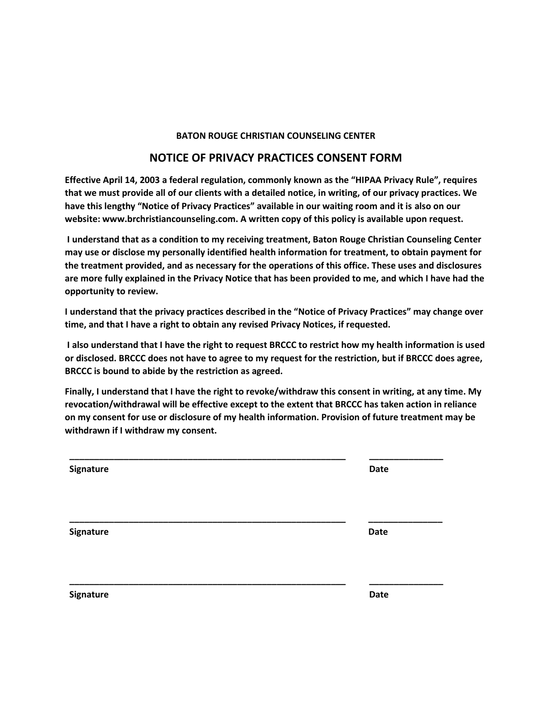### **BATON ROUGE CHRISTIAN COUNSELING CENTER**

### **NOTICE OF PRIVACY PRACTICES CONSENT FORM**

**Effective April 14, 2003 a federal regulation, commonly known as the "HIPAA Privacy Rule", requires that we must provide all of our clients with a detailed notice, in writing, of our privacy practices. We have this lengthy "Notice of Privacy Practices" available in our waiting room and it is also on our website: www.brchristiancounseling.com. A written copy of this policy is available upon request.**

**I understand that as a condition to my receiving treatment, Baton Rouge Christian Counseling Center may use or disclose my personally identified health information for treatment, to obtain payment for the treatment provided, and as necessary for the operations of this office. These uses and disclosures are more fully explained in the Privacy Notice that has been provided to me, and which I have had the opportunity to review.** 

**I understand that the privacy practices described in the "Notice of Privacy Practices" may change over time, and that I have a right to obtain any revised Privacy Notices, if requested.**

**I also understand that I have the right to request BRCCC to restrict how my health information is used or disclosed. BRCCC does not have to agree to my request for the restriction, but if BRCCC does agree, BRCCC is bound to abide by the restriction as agreed.** 

**Finally, I understand that I have the right to revoke/withdraw this consent in writing, at any time. My revocation/withdrawal will be effective except to the extent that BRCCC has taken action in reliance on my consent for use or disclosure of my health information. Provision of future treatment may be withdrawn if I withdraw my consent.**

| Signature | <b>Date</b> |
|-----------|-------------|
| Signature | Date        |
| Signature | <b>Date</b> |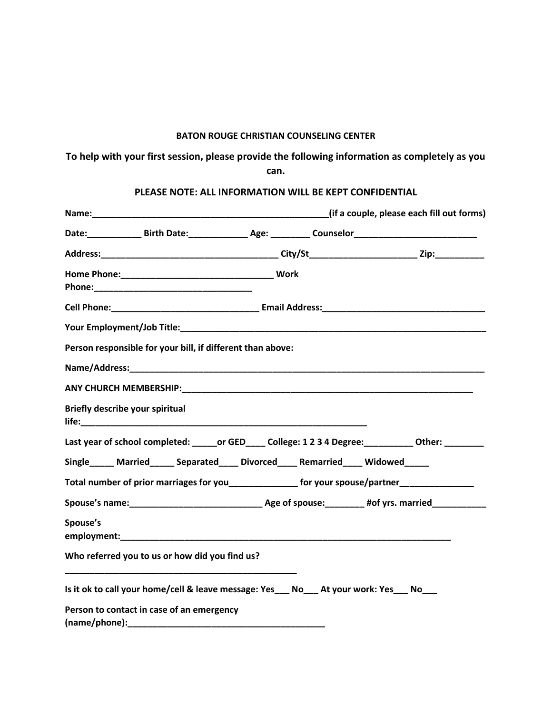### **BATON ROUGE CHRISTIAN COUNSELING CENTER**

# **To help with your first session, please provide the following information as completely as you can.**

### **PLEASE NOTE: ALL INFORMATION WILL BE KEPT CONFIDENTIAL**

|          | Person responsible for your bill, if different than above:                                                                                                              |  |                                                                                                      |
|----------|-------------------------------------------------------------------------------------------------------------------------------------------------------------------------|--|------------------------------------------------------------------------------------------------------|
|          |                                                                                                                                                                         |  |                                                                                                      |
|          |                                                                                                                                                                         |  |                                                                                                      |
|          | <b>Briefly describe your spiritual</b>                                                                                                                                  |  |                                                                                                      |
|          |                                                                                                                                                                         |  | Last year of school completed: ______ or GED_____ College: 1 2 3 4 Degree: __________ Other: _______ |
|          | Single_____ Married______ Separated____ Divorced____ Remarried____ Widowed_____                                                                                         |  |                                                                                                      |
|          |                                                                                                                                                                         |  | Total number of prior marriages for you_________________ for your spouse/partner___________________  |
|          |                                                                                                                                                                         |  |                                                                                                      |
| Spouse's |                                                                                                                                                                         |  |                                                                                                      |
|          |                                                                                                                                                                         |  |                                                                                                      |
|          | Who referred you to us or how did you find us?<br><u> 1989 - Johann Stoff, deutscher Stoff, der Stoff, der Stoff, der Stoff, der Stoff, der Stoff, der Stoff, der S</u> |  |                                                                                                      |
|          | Is it ok to call your home/cell & leave message: Yes___ No___ At your work: Yes___ No___                                                                                |  |                                                                                                      |
|          | Person to contact in case of an emergency                                                                                                                               |  |                                                                                                      |
|          |                                                                                                                                                                         |  |                                                                                                      |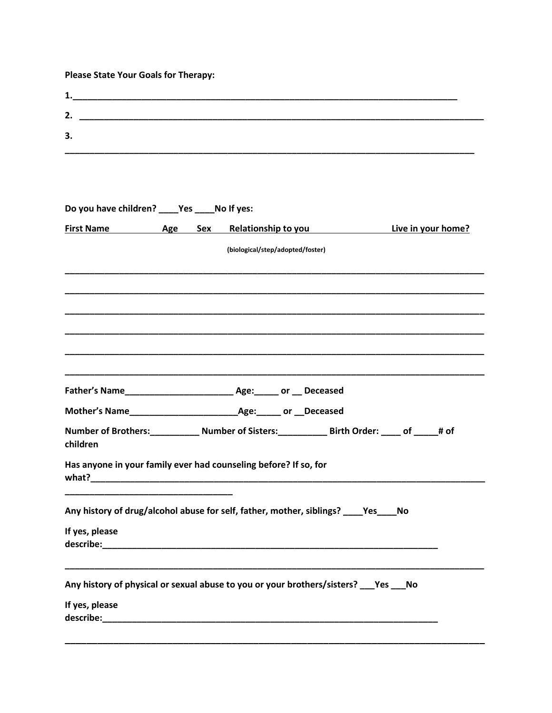# Please State Your Goals for Therapy:

| 3.                                           |  |                                                                                                  |  |
|----------------------------------------------|--|--------------------------------------------------------------------------------------------------|--|
|                                              |  |                                                                                                  |  |
|                                              |  |                                                                                                  |  |
| Do you have children? ____Yes ____No If yes: |  |                                                                                                  |  |
|                                              |  | First Name Age Sex Relationship to you Live in your home?                                        |  |
|                                              |  | (biological/step/adopted/foster)                                                                 |  |
|                                              |  |                                                                                                  |  |
|                                              |  |                                                                                                  |  |
|                                              |  |                                                                                                  |  |
|                                              |  |                                                                                                  |  |
|                                              |  |                                                                                                  |  |
|                                              |  |                                                                                                  |  |
|                                              |  |                                                                                                  |  |
|                                              |  |                                                                                                  |  |
| children                                     |  | Number of Brothers:_____________ Number of Sisters:_____________ Birth Order: _____ of _____# of |  |
|                                              |  | Has anyone in your family ever had counseling before? If so, for                                 |  |
|                                              |  | Any history of drug/alcohol abuse for self, father, mother, siblings? ____ Yes____ No            |  |
|                                              |  |                                                                                                  |  |
| If yes, please                               |  |                                                                                                  |  |
|                                              |  | Any history of physical or sexual abuse to you or your brothers/sisters? ___ Yes ___ No          |  |
| If yes, please                               |  |                                                                                                  |  |
|                                              |  |                                                                                                  |  |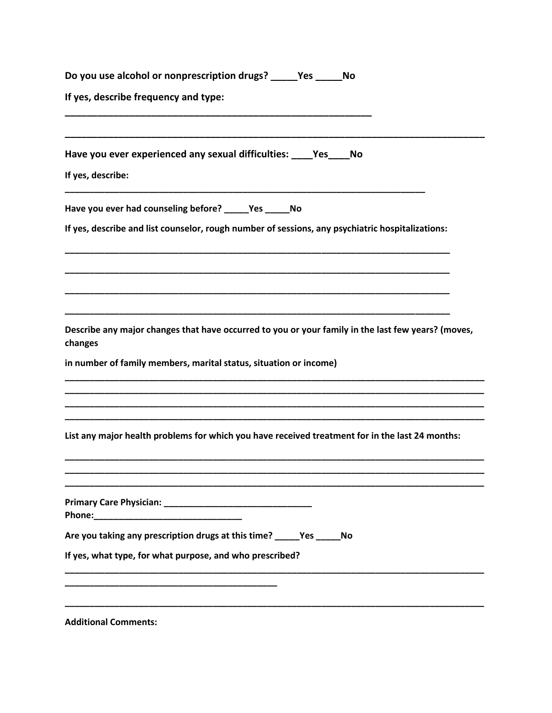| Do you use alcohol or nonprescription drugs? | Yes | Νo |  |
|----------------------------------------------|-----|----|--|
| If yes, describe frequency and type:         |     |    |  |
|                                              |     |    |  |

Have you ever experienced any sexual difficulties: Yes No

If yes, describe:

Have you ever had counseling before? \_\_\_\_\_\_ Yes \_\_\_\_\_\_ No

If yes, describe and list counselor, rough number of sessions, any psychiatric hospitalizations:

Describe any major changes that have occurred to you or your family in the last few years? (moves, changes

in number of family members, marital status, situation or income)

List any major health problems for which you have received treatment for in the last 24 months:

| Are you taking any prescription drugs at this time? _____Yes _____No |  |
|----------------------------------------------------------------------|--|
| If yes, what type, for what purpose, and who prescribed?             |  |
|                                                                      |  |
|                                                                      |  |

**Additional Comments:**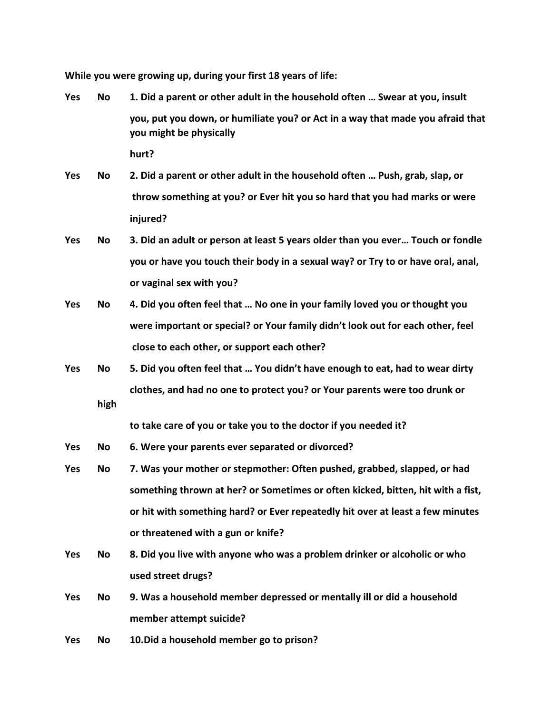**While you were growing up, during your first 18 years of life:**

- **Yes No 1. Did a parent or other adult in the household often … Swear at you, insult you, put you down, or humiliate you? or Act in a way that made you afraid that you might be physically hurt?**
- **Yes No 2. Did a parent or other adult in the household often … Push, grab, slap, or throw something at you? or Ever hit you so hard that you had marks or were injured?**
- **Yes No 3. Did an adult or person at least 5 years older than you ever… Touch or fondle you or have you touch their body in a sexual way? or Try to or have oral, anal, or vaginal sex with you?**
- **Yes No 4. Did you often feel that … No one in your family loved you or thought you were important or special? or Your family didn't look out for each other, feel close to each other, or support each other?**
- **Yes No 5. Did you often feel that … You didn't have enough to eat, had to wear dirty clothes, and had no one to protect you? or Your parents were too drunk or high**

**to take care of you or take you to the doctor if you needed it?**

- **Yes No 6. Were your parents ever separated or divorced?**
- **Yes No 7. Was your mother or stepmother: Often pushed, grabbed, slapped, or had something thrown at her? or Sometimes or often kicked, bitten, hit with a fist, or hit with something hard? or Ever repeatedly hit over at least a few minutes or threatened with a gun or knife?**
- **Yes No 8. Did you live with anyone who was a problem drinker or alcoholic or who used street drugs?**
- **Yes No 9. Was a household member depressed or mentally ill or did a household member attempt suicide?**
- **Yes No 10.Did a household member go to prison?**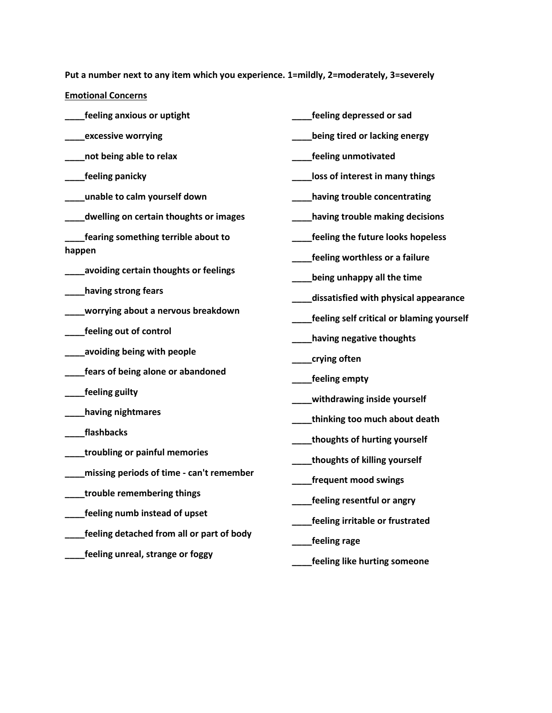**Put a number next to any item which you experience. 1=mildly, 2=moderately, 3=severely**

**Emotional Concerns**

| feeling anxious or uptight                | feeling depressed or sad                  |
|-------------------------------------------|-------------------------------------------|
| excessive worrying                        | being tired or lacking energy             |
| not being able to relax                   | feeling unmotivated                       |
| <b>feeling panicky</b>                    | loss of interest in many things           |
| unable to calm yourself down              | having trouble concentrating              |
| dwelling on certain thoughts or images    | having trouble making decisions           |
| fearing something terrible about to       | feeling the future looks hopeless         |
| happen                                    | feeling worthless or a failure            |
| avoiding certain thoughts or feelings     | being unhappy all the time                |
| having strong fears                       | dissatisfied with physical appearance     |
| worrying about a nervous breakdown        | feeling self critical or blaming yourself |
| feeling out of control                    | having negative thoughts                  |
| avoiding being with people                | crying often                              |
| fears of being alone or abandoned         | feeling empty                             |
| feeling guilty                            | withdrawing inside yourself               |
| having nightmares                         | thinking too much about death             |
| flashbacks                                | thoughts of hurting yourself              |
| troubling or painful memories             | thoughts of killing yourself              |
| missing periods of time - can't remember  | frequent mood swings                      |
| trouble remembering things                | feeling resentful or angry                |
| feeling numb instead of upset             |                                           |
| feeling detached from all or part of body | feeling irritable or frustrated           |
| feeling unreal, strange or foggy          | feeling rage                              |
|                                           | feeling like hurting someone              |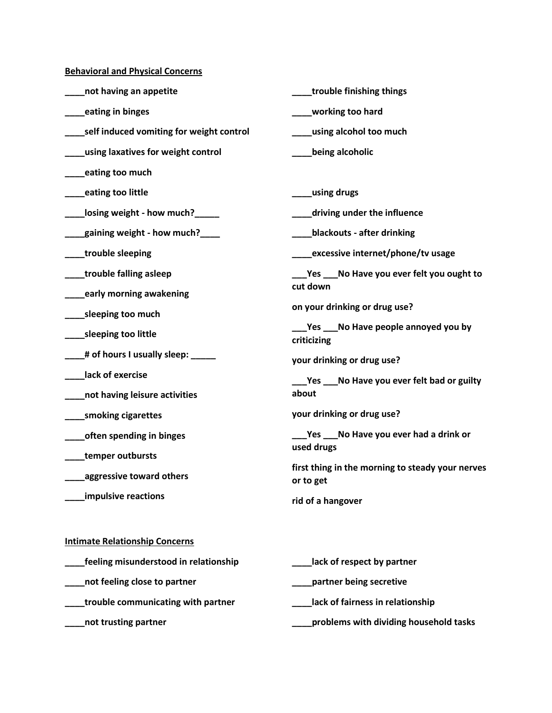**Behavioral and Physical Concerns**

| not having an appetite                   | trouble finishing things                                      |  |
|------------------------------------------|---------------------------------------------------------------|--|
| eating in binges                         | working too hard                                              |  |
| self induced vomiting for weight control | using alcohol too much                                        |  |
| using laxatives for weight control       | being alcoholic                                               |  |
| eating too much                          |                                                               |  |
| eating too little                        | using drugs                                                   |  |
| losing weight - how much?                | driving under the influence                                   |  |
| _gaining weight - how much?____          | blackouts - after drinking                                    |  |
| trouble sleeping                         | excessive internet/phone/tv usage                             |  |
| trouble falling asleep                   | Yes ____ No Have you ever felt you ought to                   |  |
| early morning awakening                  | cut down                                                      |  |
| _sleeping too much                       | on your drinking or drug use?                                 |  |
| _sleeping too little                     | Yes ___No Have people annoyed you by<br>criticizing           |  |
| _# of hours I usually sleep: _           | your drinking or drug use?                                    |  |
| lack of exercise                         | Yes ___No Have you ever felt bad or guilty                    |  |
| not having leisure activities            | about                                                         |  |
| smoking cigarettes                       | your drinking or drug use?                                    |  |
| often spending in binges                 | Yes ___No Have you ever had a drink or                        |  |
| temper outbursts                         | used drugs                                                    |  |
| aggressive toward others                 | first thing in the morning to steady your nerves<br>or to get |  |
| impulsive reactions                      | rid of a hangover                                             |  |
| <b>Intimate Relationship Concerns</b>    |                                                               |  |
| feeling misunderstood in relationship    | lack of respect by partner                                    |  |
| not feeling close to partner             | partner being secretive                                       |  |
| trouble communicating with partner       | lack of fairness in relationship                              |  |

**\_\_\_\_not trusting partner**

**\_\_\_\_problems with dividing household tasks**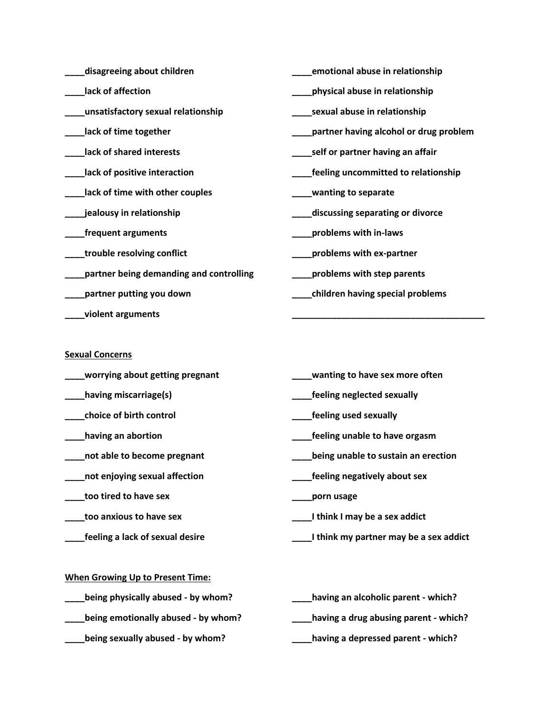| disagreeing about children              | emotional abuse in relationship        |
|-----------------------------------------|----------------------------------------|
| lack of affection                       | physical abuse in relationship         |
| unsatisfactory sexual relationship      | sexual abuse in relationship           |
| lack of time together                   | partner having alcohol or drug problem |
| lack of shared interests                | self or partner having an affair       |
| lack of positive interaction            | feeling uncommitted to relationship    |
| lack of time with other couples         | wanting to separate                    |
| jealousy in relationship                | discussing separating or divorce       |
| frequent arguments                      | problems with in-laws                  |
| trouble resolving conflict              | problems with ex-partner               |
| partner being demanding and controlling | problems with step parents             |
| partner putting you down                | children having special problems       |
| violent arguments                       |                                        |

### **Sexual Concerns**

- **\_\_\_\_worrying about getting pregnant**
- **\_\_\_\_having miscarriage(s)**
- **\_\_\_\_choice of birth control**
- **\_\_\_\_having an abortion**
- **\_\_\_\_not able to become pregnant**
- **\_\_\_\_not enjoying sexual affection**
- **\_\_\_\_too tired to have sex**
- **\_\_\_\_too anxious to have sex**
- **\_\_\_\_feeling a lack of sexual desire**
- **\_\_\_\_wanting to have sex more often**
- **\_\_\_\_feeling neglected sexually**
- **\_\_\_\_feeling used sexually**
- **\_\_\_\_feeling unable to have orgasm**
- **\_\_\_\_being unable to sustain an erection**
- **\_\_\_\_feeling negatively about sex**
- **\_\_\_\_porn usage**
- **\_\_\_\_I think I may be a sex addict**
- **\_\_\_\_I think my partner may be a sex addict**

### **When Growing Up to Present Time:**

- **\_\_\_\_being physically abused - by whom?**
- **\_\_\_\_being emotionally abused - by whom?**
- **\_\_\_\_being sexually abused - by whom?**
- **\_\_\_\_having an alcoholic parent - which? \_\_\_\_having a drug abusing parent - which?**
- **\_\_\_\_having a depressed parent - which?**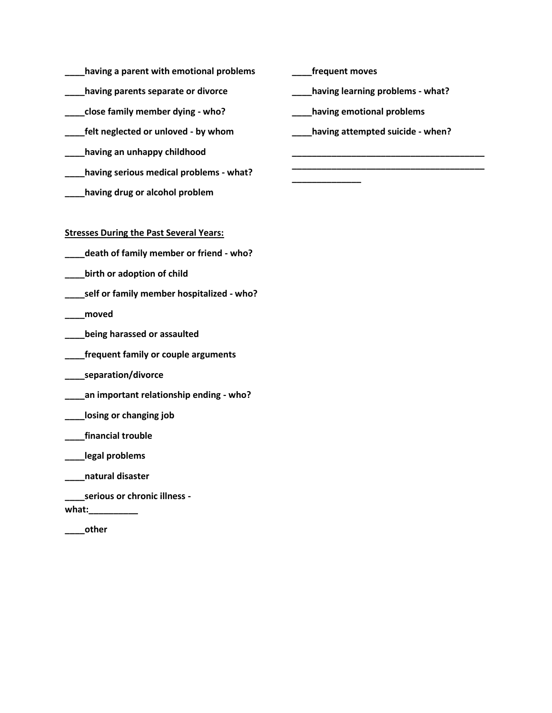- **\_\_\_\_having a parent with emotional problems**
- **\_\_\_\_having parents separate or divorce**
- **\_\_\_\_close family member dying - who?**
- **\_\_\_\_felt neglected or unloved - by whom**
- **\_\_\_\_having an unhappy childhood**
- **\_\_\_\_having serious medical problems - what?**
- **\_\_\_\_having drug or alcohol problem**

**Stresses During the Past Several Years:**

- **\_\_\_\_death of family member or friend - who?**
- **\_\_\_\_birth or adoption of child**
- **\_\_\_\_self or family member hospitalized - who?**
- **\_\_\_\_moved**
- **\_\_\_\_being harassed or assaulted**
- **\_\_\_\_frequent family or couple arguments**
- **\_\_\_\_separation/divorce**
- **\_\_\_\_an important relationship ending - who?**
- **\_\_\_\_losing or changing job**
- **\_\_\_\_financial trouble**
- **\_\_\_\_legal problems**
- **\_\_\_\_natural disaster**
- **\_\_\_\_serious or chronic illness -**
- **what:\_\_\_\_\_\_\_\_\_\_**
- **\_\_\_\_other**

**\_\_\_\_frequent moves**

**\_\_\_\_\_\_\_\_\_\_\_\_\_\_**

**\_\_\_\_having learning problems - what?**

**\_\_\_\_having emotional problems**

**\_\_\_\_having attempted suicide - when?**

**\_\_\_\_\_\_\_\_\_\_\_\_\_\_\_\_\_\_\_\_\_\_\_\_\_\_\_\_\_\_\_\_\_\_\_\_\_\_\_ \_\_\_\_\_\_\_\_\_\_\_\_\_\_\_\_\_\_\_\_\_\_\_\_\_\_\_\_\_\_\_\_\_\_\_\_\_\_\_**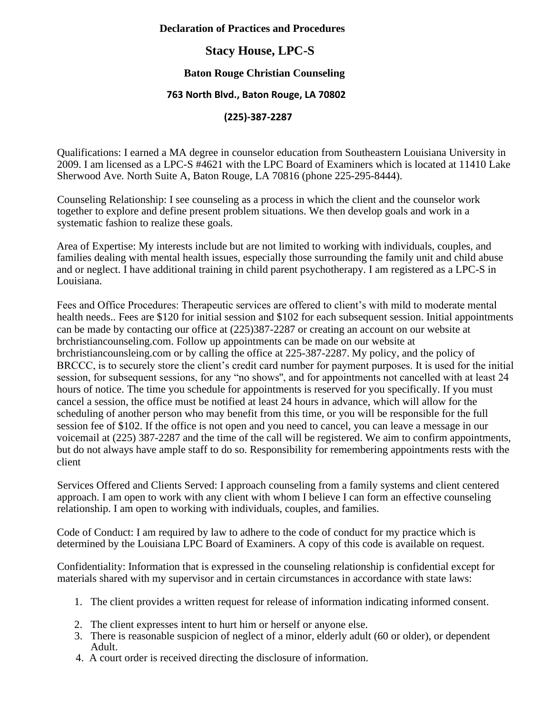### **Declaration of Practices and Procedures**

# **Stacy House, LPC-S**

### **Baton Rouge Christian Counseling**

### **763 North Blvd., Baton Rouge, LA 70802**

### **(225)-387-2287**

Qualifications: I earned a MA degree in counselor education from Southeastern Louisiana University in 2009. I am licensed as a LPC-S #4621 with the LPC Board of Examiners which is located at 11410 Lake Sherwood Ave. North Suite A, Baton Rouge, LA 70816 (phone 225-295-8444).

Counseling Relationship: I see counseling as a process in which the client and the counselor work together to explore and define present problem situations. We then develop goals and work in a systematic fashion to realize these goals.

Area of Expertise: My interests include but are not limited to working with individuals, couples, and families dealing with mental health issues, especially those surrounding the family unit and child abuse and or neglect. I have additional training in child parent psychotherapy. I am registered as a LPC-S in Louisiana.

Fees and Office Procedures: Therapeutic services are offered to client's with mild to moderate mental health needs.. Fees are \$120 for initial session and \$102 for each subsequent session. Initial appointments can be made by contacting our office at (225)387-2287 or creating an account on our website at brchristiancounseling.com. Follow up appointments can be made on our website at brchristiancounsleing.com or by calling the office at 225-387-2287. My policy, and the policy of BRCCC, is to securely store the client's credit card number for payment purposes. It is used for the initial session, for subsequent sessions, for any "no shows'', and for appointments not cancelled with at least 24 hours of notice. The time you schedule for appointments is reserved for you specifically. If you must cancel a session, the office must be notified at least 24 hours in advance, which will allow for the scheduling of another person who may benefit from this time, or you will be responsible for the full session fee of \$102. If the office is not open and you need to cancel, you can leave a message in our voicemail at (225) 387-2287 and the time of the call will be registered. We aim to confirm appointments, but do not always have ample staff to do so. Responsibility for remembering appointments rests with the client

Services Offered and Clients Served: I approach counseling from a family systems and client centered approach. I am open to work with any client with whom I believe I can form an effective counseling relationship. I am open to working with individuals, couples, and families.

Code of Conduct: I am required by law to adhere to the code of conduct for my practice which is determined by the Louisiana LPC Board of Examiners. A copy of this code is available on request.

Confidentiality: Information that is expressed in the counseling relationship is confidential except for materials shared with my supervisor and in certain circumstances in accordance with state laws:

- 1. The client provides a written request for release of information indicating informed consent.
- 2. The client expresses intent to hurt him or herself or anyone else.
- 3. There is reasonable suspicion of neglect of a minor, elderly adult (60 or older), or dependent Adult.
- 4. A court order is received directing the disclosure of information.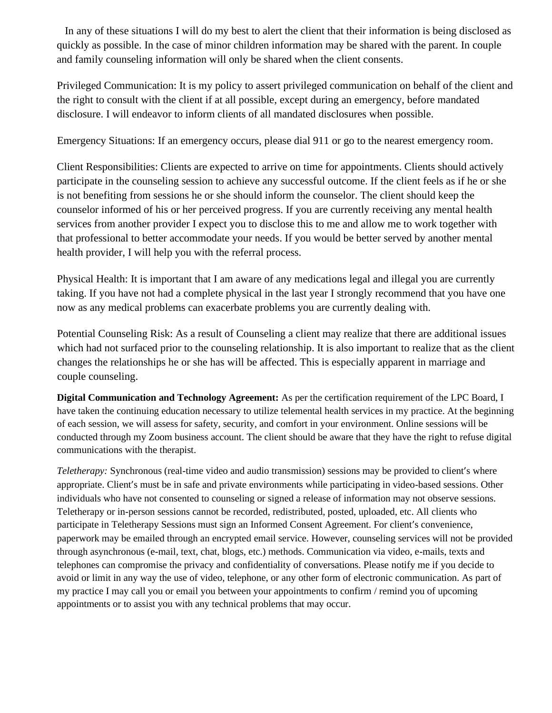In any of these situations I will do my best to alert the client that their information is being disclosed as quickly as possible. In the case of minor children information may be shared with the parent. In couple and family counseling information will only be shared when the client consents.

Privileged Communication: It is my policy to assert privileged communication on behalf of the client and the right to consult with the client if at all possible, except during an emergency, before mandated disclosure. I will endeavor to inform clients of all mandated disclosures when possible.

Emergency Situations: If an emergency occurs, please dial 911 or go to the nearest emergency room.

Client Responsibilities: Clients are expected to arrive on time for appointments. Clients should actively participate in the counseling session to achieve any successful outcome. If the client feels as if he or she is not benefiting from sessions he or she should inform the counselor. The client should keep the counselor informed of his or her perceived progress. If you are currently receiving any mental health services from another provider I expect you to disclose this to me and allow me to work together with that professional to better accommodate your needs. If you would be better served by another mental health provider, I will help you with the referral process.

Physical Health: It is important that I am aware of any medications legal and illegal you are currently taking. If you have not had a complete physical in the last year I strongly recommend that you have one now as any medical problems can exacerbate problems you are currently dealing with.

Potential Counseling Risk: As a result of Counseling a client may realize that there are additional issues which had not surfaced prior to the counseling relationship. It is also important to realize that as the client changes the relationships he or she has will be affected. This is especially apparent in marriage and couple counseling.

**Digital Communication and Technology Agreement:** As per the certification requirement of the LPC Board, I have taken the continuing education necessary to utilize telemental health services in my practice. At the beginning of each session, we will assess for safety, security, and comfort in your environment. Online sessions will be conducted through my Zoom business account. The client should be aware that they have the right to refuse digital communications with the therapist.

*Teletherapy:* Synchronous (real-time video and audio transmission) sessions may be provided to client's where appropriate. Client's must be in safe and private environments while participating in video-based sessions. Other individuals who have not consented to counseling or signed a release of information may not observe sessions. Teletherapy or in-person sessions cannot be recorded, redistributed, posted, uploaded, etc. All clients who participate in Teletherapy Sessions must sign an Informed Consent Agreement. For client's convenience, paperwork may be emailed through an encrypted email service. However, counseling services will not be provided through asynchronous (e-mail, text, chat, blogs, etc.) methods. Communication via video, e-mails, texts and telephones can compromise the privacy and confidentiality of conversations. Please notify me if you decide to avoid or limit in any way the use of video, telephone, or any other form of electronic communication. As part of my practice I may call you or email you between your appointments to confirm / remind you of upcoming appointments or to assist you with any technical problems that may occur.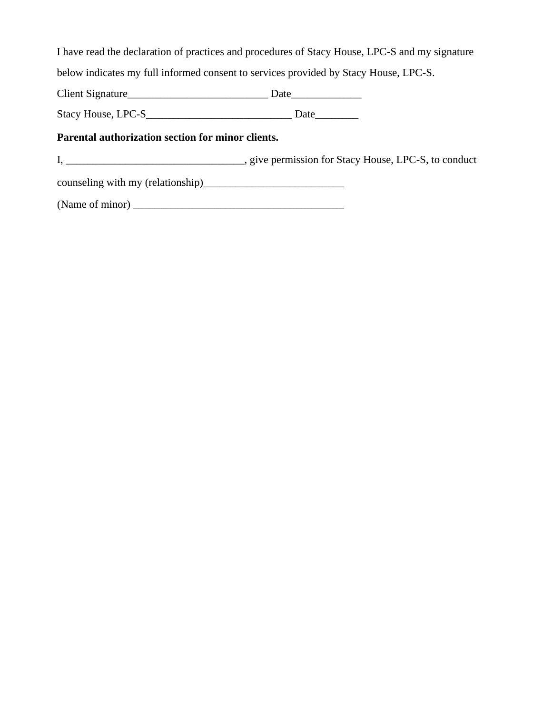I have read the declaration of practices and procedures of Stacy House, LPC-S and my signature

below indicates my full informed consent to services provided by Stacy House, LPC-S.

Client Signature\_\_\_\_\_\_\_\_\_\_\_\_\_\_\_\_\_\_\_\_\_\_\_\_\_\_ Date\_\_\_\_\_\_\_\_\_\_\_\_\_

Stacy House, LPC-S\_\_\_\_\_\_\_\_\_\_\_\_\_\_\_\_\_\_\_\_\_\_\_\_\_\_\_ Date\_\_\_\_\_\_\_\_

### **Parental authorization section for minor clients.**

I, \_\_\_\_\_\_\_\_\_\_\_\_\_\_\_\_\_\_\_\_\_\_\_\_\_\_\_\_\_\_\_, give permission for Stacy House, LPC-S, to conduct

counseling with my (relationship)\_\_\_\_\_\_\_\_\_\_\_\_\_\_\_\_\_\_\_\_\_\_\_\_\_\_

(Name of minor)  $\frac{1}{\sqrt{1-\frac{1}{2}}}\left\{ \frac{1}{2}, \frac{1}{2}, \frac{1}{2}, \frac{1}{2}, \frac{1}{2}, \frac{1}{2}, \frac{1}{2}, \frac{1}{2}, \frac{1}{2}, \frac{1}{2}, \frac{1}{2}, \frac{1}{2}, \frac{1}{2}, \frac{1}{2}, \frac{1}{2}, \frac{1}{2}, \frac{1}{2}, \frac{1}{2}, \frac{1}{2}, \frac{1}{2}, \frac{1}{2}, \frac{1}{2}, \frac{1}{2}, \frac{1}{2}, \frac{1}{2}, \frac{1}{2}, \frac$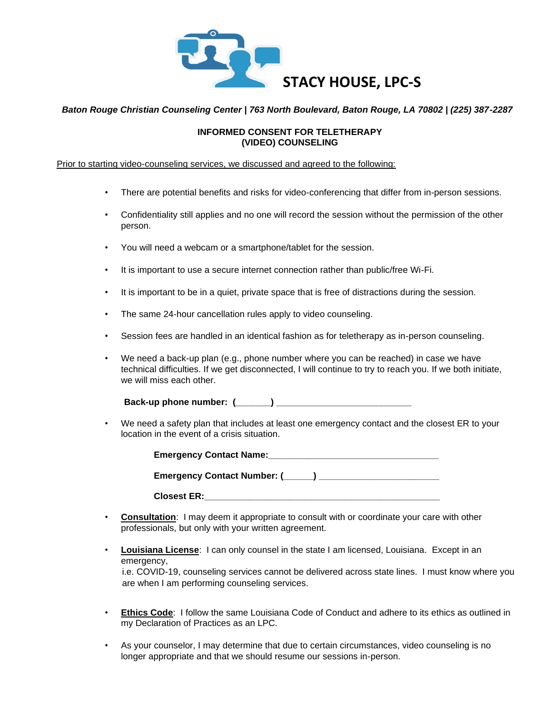

### *Baton Rouge Christian Counseling Center | 763 North Boulevard, Baton Rouge, LA 70802 | (225) 387-2287*

### **INFORMED CONSENT FOR TELETHERAPY (VIDEO) COUNSELING**

#### Prior to starting video-counseling services, we discussed and agreed to the following:

- There are potential benefits and risks for video-conferencing that differ from in-person sessions.
- Confidentiality still applies and no one will record the session without the permission of the other person.
- You will need a webcam or a smartphone/tablet for the session.
- It is important to use a secure internet connection rather than public/free Wi-Fi.
- It is important to be in a quiet, private space that is free of distractions during the session.
- The same 24-hour cancellation rules apply to video counseling.
- Session fees are handled in an identical fashion as for teletherapy as in-person counseling.
- We need a back-up plan (e.g., phone number where you can be reached) in case we have technical difficulties. If we get disconnected, I will continue to try to reach you. If we both initiate, we will miss each other.

**Back-up phone number: (\_\_\_\_\_\_\_) \_\_\_\_\_\_\_\_\_\_\_\_\_\_\_\_\_\_\_\_\_\_\_\_\_\_\_** 

• We need a safety plan that includes at least one emergency contact and the closest ER to your location in the event of a crisis situation.

| <b>Emergency Contact Name:</b>    |
|-----------------------------------|
| Emergency Contact Number: (_____) |
| <b>Closest ER:</b>                |

- **Consultation**: I may deem it appropriate to consult with or coordinate your care with other professionals, but only with your written agreement.
- **Louisiana License**: I can only counsel in the state I am licensed, Louisiana. Except in an emergency, i.e. COVID-19, counseling services cannot be delivered across state lines. I must know where you are when I am performing counseling services.
- **Ethics Code**: I follow the same Louisiana Code of Conduct and adhere to its ethics as outlined in my Declaration of Practices as an LPC.
- As your counselor, I may determine that due to certain circumstances, video counseling is no longer appropriate and that we should resume our sessions in-person.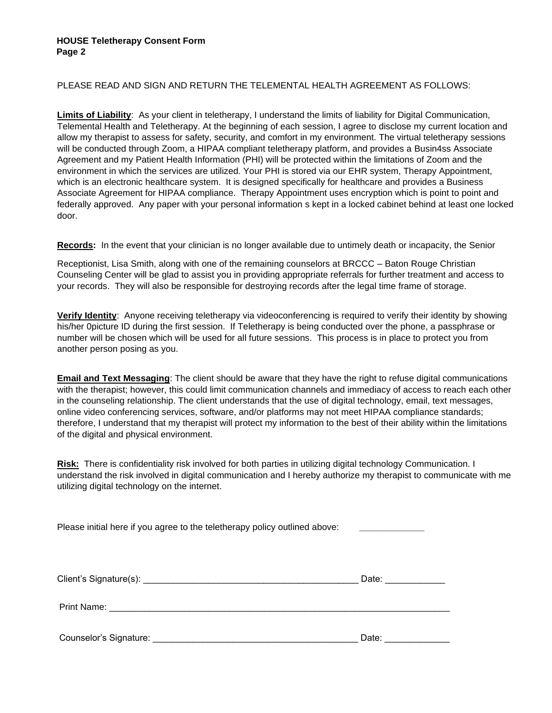### PLEASE READ AND SIGN AND RETURN THE TELEMENTAL HEALTH AGREEMENT AS FOLLOWS:

**Limits of Liability**: As your client in teletherapy, I understand the limits of liability for Digital Communication, Telemental Health and Teletherapy. At the beginning of each session, I agree to disclose my current location and allow my therapist to assess for safety, security, and comfort in my environment. The virtual teletherapy sessions will be conducted through Zoom, a HIPAA compliant teletherapy platform, and provides a Busin4ss Associate Agreement and my Patient Health Information (PHI) will be protected within the limitations of Zoom and the environment in which the services are utilized. Your PHI is stored via our EHR system, Therapy Appointment, which is an electronic healthcare system. It is designed specifically for healthcare and provides a Business Associate Agreement for HIPAA compliance. Therapy Appointment uses encryption which is point to point and federally approved. Any paper with your personal information s kept in a locked cabinet behind at least one locked door.

**Records:** In the event that your clinician is no longer available due to untimely death or incapacity, the Senior

Receptionist, Lisa Smith, along with one of the remaining counselors at BRCCC – Baton Rouge Christian Counseling Center will be glad to assist you in providing appropriate referrals for further treatment and access to your records. They will also be responsible for destroying records after the legal time frame of storage.

**Verify Identity**: Anyone receiving teletherapy via videoconferencing is required to verify their identity by showing his/her 0picture ID during the first session. If Teletherapy is being conducted over the phone, a passphrase or number will be chosen which will be used for all future sessions. This process is in place to protect you from another person posing as you.

**Email and Text Messaging**: The client should be aware that they have the right to refuse digital communications with the therapist; however, this could limit communication channels and immediacy of access to reach each other in the counseling relationship. The client understands that the use of digital technology, email, text messages, online video conferencing services, software, and/or platforms may not meet HIPAA compliance standards; therefore, I understand that my therapist will protect my information to the best of their ability within the limitations of the digital and physical environment.

**Risk:** There is confidentiality risk involved for both parties in utilizing digital technology Communication. I understand the risk involved in digital communication and I hereby authorize my therapist to communicate with me utilizing digital technology on the internet.

Please initial here if you agree to the teletherapy policy outlined above:

| Client's Signature(s):<br>the control of the control of the control of the control of the control of the control of | Date: |
|---------------------------------------------------------------------------------------------------------------------|-------|
| Print Name:                                                                                                         |       |
| Counselor's Signature:                                                                                              | Date: |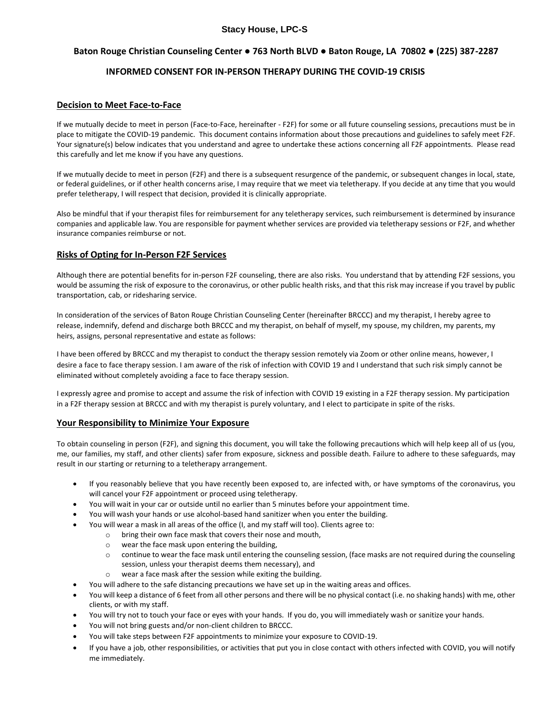### **Stacy House, LPC-S**

### **Baton Rouge Christian Counseling Center ● 763 North BLVD ● Baton Rouge, LA 70802 ● (225) 387-2287**

### **INFORMED CONSENT FOR IN-PERSON THERAPY DURING THE COVID-19 CRISIS**

#### **Decision to Meet Face-to-Face**

If we mutually decide to meet in person (Face-to-Face, hereinafter - F2F) for some or all future counseling sessions, precautions must be in place to mitigate the COVID-19 pandemic. This document contains information about those precautions and guidelines to safely meet F2F. Your signature(s) below indicates that you understand and agree to undertake these actions concerning all F2F appointments. Please read this carefully and let me know if you have any questions.

If we mutually decide to meet in person (F2F) and there is a subsequent resurgence of the pandemic, or subsequent changes in local, state, or federal guidelines, or if other health concerns arise, I may require that we meet via teletherapy. If you decide at any time that you would prefer teletherapy, I will respect that decision, provided it is clinically appropriate.

Also be mindful that if your therapist files for reimbursement for any teletherapy services, such reimbursement is determined by insurance companies and applicable law. You are responsible for payment whether services are provided via teletherapy sessions or F2F, and whether insurance companies reimburse or not.

### **Risks of Opting for In-Person F2F Services**

Although there are potential benefits for in-person F2F counseling, there are also risks. You understand that by attending F2F sessions, you would be assuming the risk of exposure to the coronavirus, or other public health risks, and that this risk may increase if you travel by public transportation, cab, or ridesharing service.

In consideration of the services of Baton Rouge Christian Counseling Center (hereinafter BRCCC) and my therapist, I hereby agree to release, indemnify, defend and discharge both BRCCC and my therapist, on behalf of myself, my spouse, my children, my parents, my heirs, assigns, personal representative and estate as follows:

I have been offered by BRCCC and my therapist to conduct the therapy session remotely via Zoom or other online means, however, I desire a face to face therapy session. I am aware of the risk of infection with COVID 19 and I understand that such risk simply cannot be eliminated without completely avoiding a face to face therapy session.

I expressly agree and promise to accept and assume the risk of infection with COVID 19 existing in a F2F therapy session. My participation in a F2F therapy session at BRCCC and with my therapist is purely voluntary, and I elect to participate in spite of the risks.

#### **Your Responsibility to Minimize Your Exposure**

To obtain counseling in person (F2F), and signing this document, you will take the following precautions which will help keep all of us (you, me, our families, my staff, and other clients) safer from exposure, sickness and possible death. Failure to adhere to these safeguards, may result in our starting or returning to a teletherapy arrangement.

- If you reasonably believe that you have recently been exposed to, are infected with, or have symptoms of the coronavirus, you will cancel your F2F appointment or proceed using teletherapy.
- You will wait in your car or outside until no earlier than 5 minutes before your appointment time.
- You will wash your hands or use alcohol-based hand sanitizer when you enter the building.
- You will wear a mask in all areas of the office (I, and my staff will too). Clients agree to:
	- o bring their own face mask that covers their nose and mouth,
	- o wear the face mask upon entering the building,
	- o continue to wear the face mask until entering the counseling session, (face masks are not required during the counseling session, unless your therapist deems them necessary), and
	- o wear a face mask after the session while exiting the building.
- You will adhere to the safe distancing precautions we have set up in the waiting areas and offices.
- You will keep a distance of 6 feet from all other persons and there will be no physical contact (i.e. no shaking hands) with me, other clients, or with my staff.
- You will try not to touch your face or eyes with your hands. If you do, you will immediately wash or sanitize your hands.
- You will not bring guests and/or non-client children to BRCCC.
- You will take steps between F2F appointments to minimize your exposure to COVID-19.
- If you have a job, other responsibilities, or activities that put you in close contact with others infected with COVID, you will notify me immediately.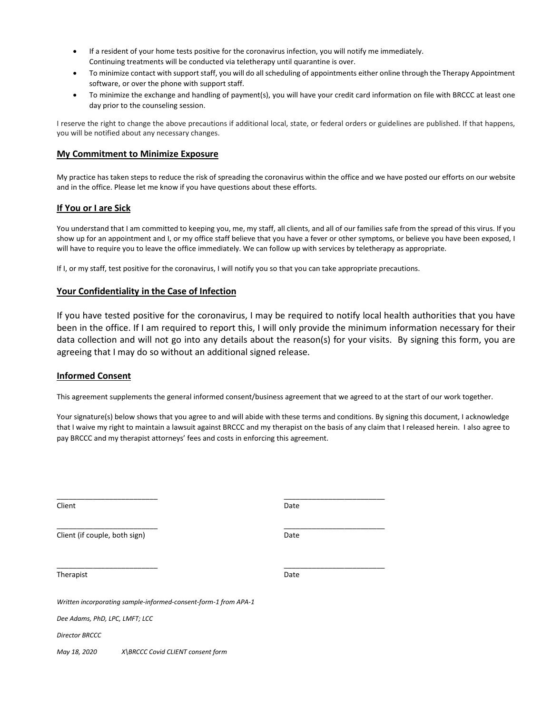- If a resident of your home tests positive for the coronavirus infection, you will notify me immediately. Continuing treatments will be conducted via teletherapy until quarantine is over.
- To minimize contact with support staff, you will do all scheduling of appointments either online through the Therapy Appointment software, or over the phone with support staff.
- To minimize the exchange and handling of payment(s), you will have your credit card information on file with BRCCC at least one day prior to the counseling session.

I reserve the right to change the above precautions if additional local, state, or federal orders or guidelines are published. If that happens, you will be notified about any necessary changes.

#### **My Commitment to Minimize Exposure**

My practice has taken steps to reduce the risk of spreading the coronavirus within the office and we have posted our efforts on our website and in the office. Please let me know if you have questions about these efforts.

#### **If You or I are Sick**

You understand that I am committed to keeping you, me, my staff, all clients, and all of our families safe from the spread of this virus. If you show up for an appointment and I, or my office staff believe that you have a fever or other symptoms, or believe you have been exposed, I will have to require you to leave the office immediately. We can follow up with services by teletherapy as appropriate.

If I, or my staff, test positive for the coronavirus, I will notify you so that you can take appropriate precautions.

\_\_\_\_\_\_\_\_\_\_\_\_\_\_\_\_\_\_\_\_\_\_\_\_\_ \_\_\_\_\_\_\_\_\_\_\_\_\_\_\_\_\_\_\_\_\_\_\_\_\_

\_\_\_\_\_\_\_\_\_\_\_\_\_\_\_\_\_\_\_\_\_\_\_\_\_ \_\_\_\_\_\_\_\_\_\_\_\_\_\_\_\_\_\_\_\_\_\_\_\_\_

#### **Your Confidentiality in the Case of Infection**

If you have tested positive for the coronavirus, I may be required to notify local health authorities that you have been in the office. If I am required to report this, I will only provide the minimum information necessary for their data collection and will not go into any details about the reason(s) for your visits. By signing this form, you are agreeing that I may do so without an additional signed release.

#### **Informed Consent**

This agreement supplements the general informed consent/business agreement that we agreed to at the start of our work together.

Your signature(s) below shows that you agree to and will abide with these terms and conditions. By signing this document, I acknowledge that I waive my right to maintain a lawsuit against BRCCC and my therapist on the basis of any claim that I released herein. I also agree to pay BRCCC and my therapist attorneys' fees and costs in enforcing this agreement.

Client Date

Client (if couple, both sign) Date

\_\_\_\_\_\_\_\_\_\_\_\_\_\_\_\_\_\_\_\_\_\_\_\_\_ \_\_\_\_\_\_\_\_\_\_\_\_\_\_\_\_\_\_\_\_\_\_\_\_\_

Therapist Date **Date** 

*Written incorporating sample-informed-consent-form-1 from APA-1*

*Dee Adams, PhD, LPC, LMFT; LCC*

*Director BRCCC*

*May 18, 2020 X\BRCCC Covid CLIENT consent form*